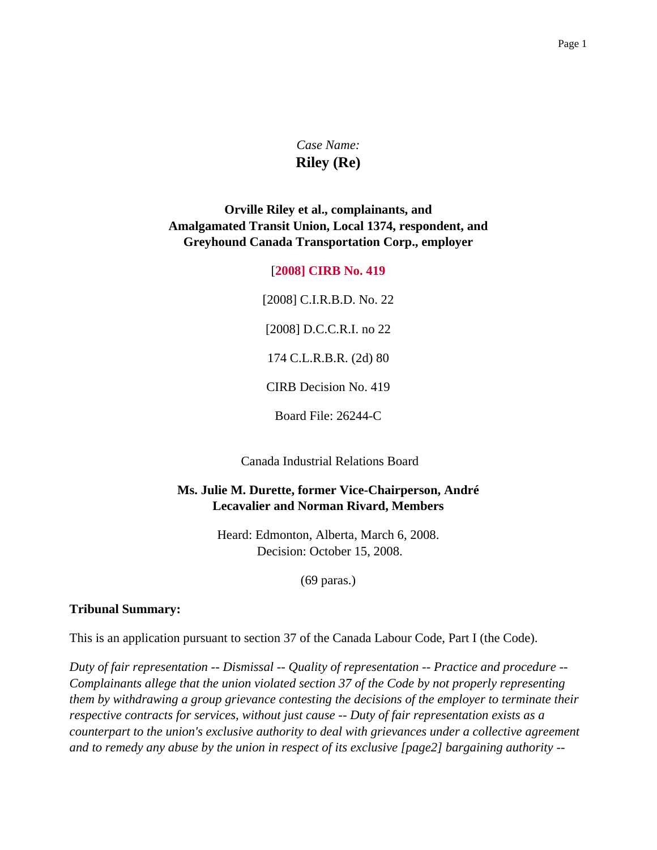# *Case Name:* **Riley (Re)**

## **Orville Riley et al., complainants, and Amalgamated Transit Union, Local 1374, respondent, and Greyhound Canada Transportation Corp., employer**

#### [**2008] CIRB No. 419**

[2008] C.I.R.B.D. No. 22 [2008] D.C.C.R.I. no 22 174 C.L.R.B.R. (2d) 80 CIRB Decision No. 419

Board File: 26244-C

Canada Industrial Relations Board

#### **Ms. Julie M. Durette, former Vice-Chairperson, André Lecavalier and Norman Rivard, Members**

Heard: Edmonton, Alberta, March 6, 2008. Decision: October 15, 2008.

(69 paras.)

#### **Tribunal Summary:**

This is an application pursuant to section 37 of the Canada Labour Code, Part I (the Code).

*Duty of fair representation -- Dismissal -- Quality of representation -- Practice and procedure -- Complainants allege that the union violated section 37 of the Code by not properly representing them by withdrawing a group grievance contesting the decisions of the employer to terminate their respective contracts for services, without just cause -- Duty of fair representation exists as a counterpart to the union's exclusive authority to deal with grievances under a collective agreement and to remedy any abuse by the union in respect of its exclusive [page2] bargaining authority --*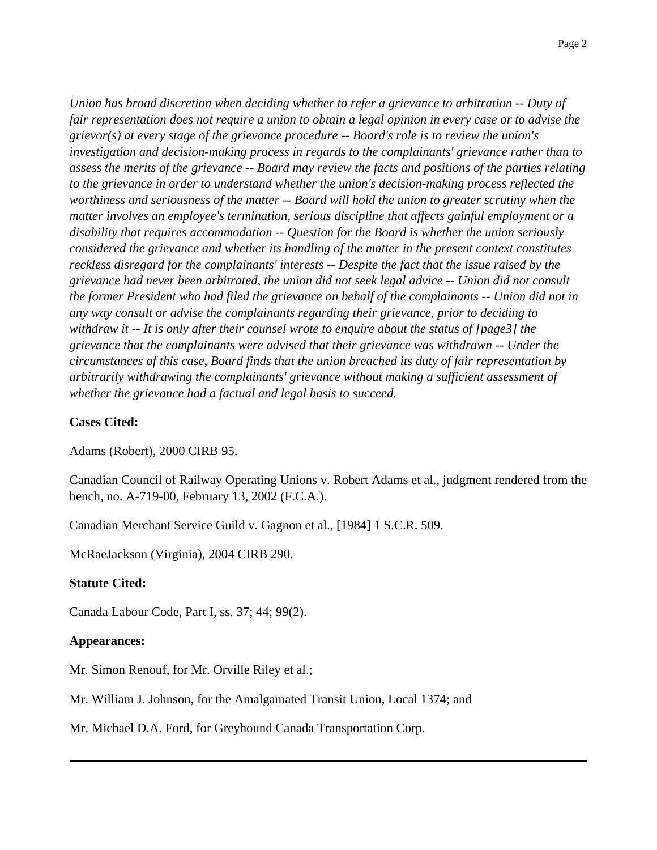*Union has broad discretion when deciding whether to refer a grievance to arbitration -- Duty of fair representation does not require a union to obtain a legal opinion in every case or to advise the grievor(s) at every stage of the grievance procedure -- Board's role is to review the union's investigation and decision-making process in regards to the complainants' grievance rather than to assess the merits of the grievance -- Board may review the facts and positions of the parties relating to the grievance in order to understand whether the union's decision-making process reflected the worthiness and seriousness of the matter -- Board will hold the union to greater scrutiny when the matter involves an employee's termination, serious discipline that affects gainful employment or a disability that requires accommodation -- Question for the Board is whether the union seriously considered the grievance and whether its handling of the matter in the present context constitutes reckless disregard for the complainants' interests -- Despite the fact that the issue raised by the grievance had never been arbitrated, the union did not seek legal advice -- Union did not consult the former President who had filed the grievance on behalf of the complainants -- Union did not in any way consult or advise the complainants regarding their grievance, prior to deciding to withdraw it -- It is only after their counsel wrote to enquire about the status of [page3] the grievance that the complainants were advised that their grievance was withdrawn -- Under the circumstances of this case, Board finds that the union breached its duty of fair representation by arbitrarily withdrawing the complainants' grievance without making a sufficient assessment of whether the grievance had a factual and legal basis to succeed.*

#### **Cases Cited:**

Adams (Robert), 2000 CIRB 95.

Canadian Council of Railway Operating Unions v. Robert Adams et al., judgment rendered from the bench, no. A-719-00, February 13, 2002 (F.C.A.).

Canadian Merchant Service Guild v. Gagnon et al., [1984] 1 S.C.R. 509.

McRaeJackson (Virginia), 2004 CIRB 290.

#### **Statute Cited:**

Canada Labour Code, Part I, ss. 37; 44; 99(2).

#### **Appearances:**

Mr. Simon Renouf, for Mr. Orville Riley et al.;

Mr. William J. Johnson, for the Amalgamated Transit Union, Local 1374; and

Mr. Michael D.A. Ford, for Greyhound Canada Transportation Corp.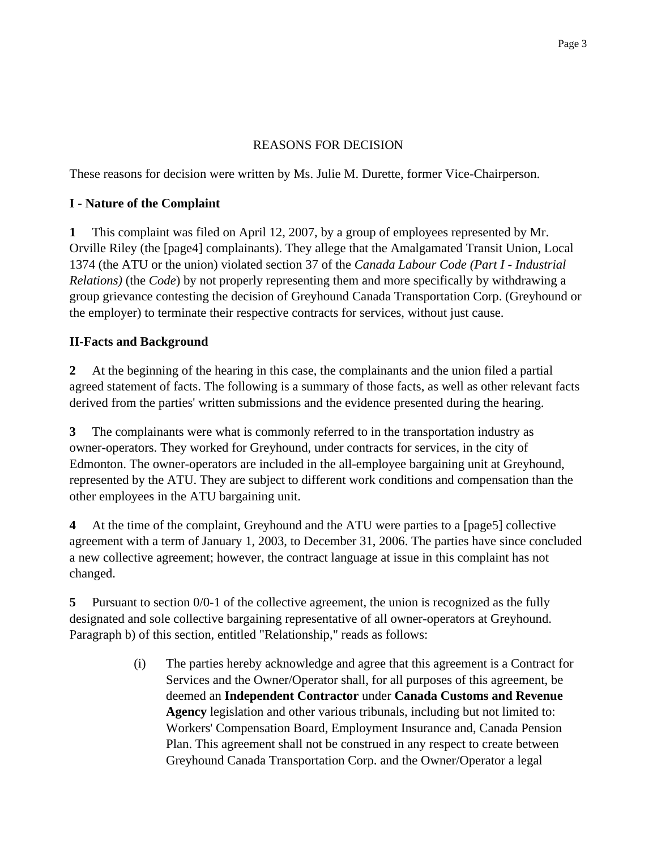## REASONS FOR DECISION

These reasons for decision were written by Ms. Julie M. Durette, former Vice-Chairperson.

## **I - Nature of the Complaint**

**1** This complaint was filed on April 12, 2007, by a group of employees represented by Mr. Orville Riley (the [page4] complainants). They allege that the Amalgamated Transit Union, Local 1374 (the ATU or the union) violated section 37 of the *Canada Labour Code (Part I - Industrial Relations)* (the *Code*) by not properly representing them and more specifically by withdrawing a group grievance contesting the decision of Greyhound Canada Transportation Corp. (Greyhound or the employer) to terminate their respective contracts for services, without just cause.

## **II-Facts and Background**

**2** At the beginning of the hearing in this case, the complainants and the union filed a partial agreed statement of facts. The following is a summary of those facts, as well as other relevant facts derived from the parties' written submissions and the evidence presented during the hearing.

**3** The complainants were what is commonly referred to in the transportation industry as owner-operators. They worked for Greyhound, under contracts for services, in the city of Edmonton. The owner-operators are included in the all-employee bargaining unit at Greyhound, represented by the ATU. They are subject to different work conditions and compensation than the other employees in the ATU bargaining unit.

**4** At the time of the complaint, Greyhound and the ATU were parties to a [page5] collective agreement with a term of January 1, 2003, to December 31, 2006. The parties have since concluded a new collective agreement; however, the contract language at issue in this complaint has not changed.

**5** Pursuant to section 0/0-1 of the collective agreement, the union is recognized as the fully designated and sole collective bargaining representative of all owner-operators at Greyhound. Paragraph b) of this section, entitled "Relationship," reads as follows:

> (i) The parties hereby acknowledge and agree that this agreement is a Contract for Services and the Owner/Operator shall, for all purposes of this agreement, be deemed an **Independent Contractor** under **Canada Customs and Revenue Agency** legislation and other various tribunals, including but not limited to: Workers' Compensation Board, Employment Insurance and, Canada Pension Plan. This agreement shall not be construed in any respect to create between Greyhound Canada Transportation Corp. and the Owner/Operator a legal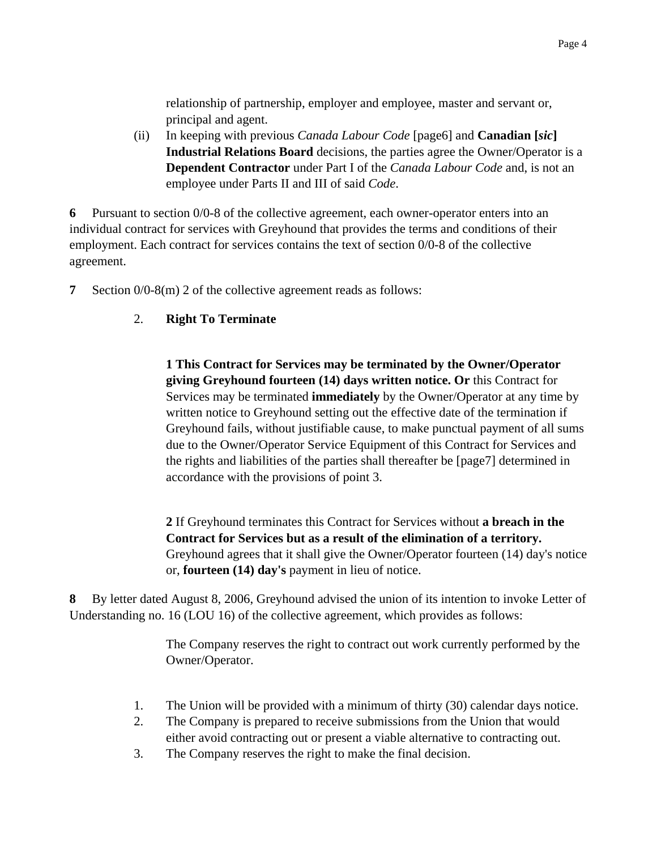relationship of partnership, employer and employee, master and servant or, principal and agent.

(ii) In keeping with previous *Canada Labour Code* [page6] and **Canadian [***sic***] Industrial Relations Board** decisions, the parties agree the Owner/Operator is a **Dependent Contractor** under Part I of the *Canada Labour Code* and, is not an employee under Parts II and III of said *Code*.

**6** Pursuant to section 0/0-8 of the collective agreement, each owner-operator enters into an individual contract for services with Greyhound that provides the terms and conditions of their employment. Each contract for services contains the text of section 0/0-8 of the collective agreement.

**7** Section 0/0-8(m) 2 of the collective agreement reads as follows:

## 2. **Right To Terminate**

**1 This Contract for Services may be terminated by the Owner/Operator giving Greyhound fourteen (14) days written notice. Or** this Contract for Services may be terminated **immediately** by the Owner/Operator at any time by written notice to Greyhound setting out the effective date of the termination if Greyhound fails, without justifiable cause, to make punctual payment of all sums due to the Owner/Operator Service Equipment of this Contract for Services and the rights and liabilities of the parties shall thereafter be [page7] determined in accordance with the provisions of point 3.

**2** If Greyhound terminates this Contract for Services without **a breach in the Contract for Services but as a result of the elimination of a territory.** Greyhound agrees that it shall give the Owner/Operator fourteen (14) day's notice or, **fourteen (14) day's** payment in lieu of notice.

**8** By letter dated August 8, 2006, Greyhound advised the union of its intention to invoke Letter of Understanding no. 16 (LOU 16) of the collective agreement, which provides as follows:

> The Company reserves the right to contract out work currently performed by the Owner/Operator.

- 1. The Union will be provided with a minimum of thirty (30) calendar days notice.
- 2. The Company is prepared to receive submissions from the Union that would either avoid contracting out or present a viable alternative to contracting out.
- 3. The Company reserves the right to make the final decision.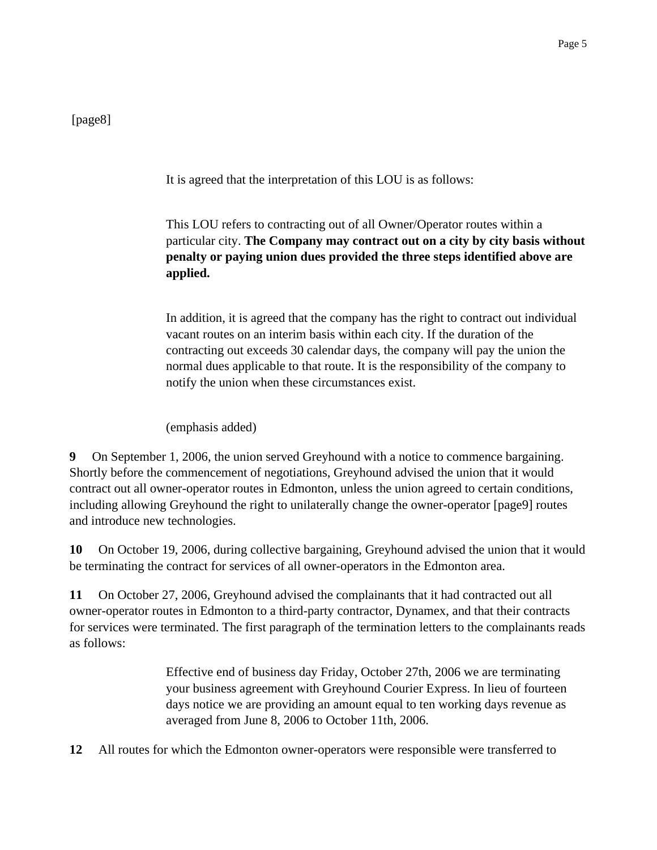[page8]

It is agreed that the interpretation of this LOU is as follows:

This LOU refers to contracting out of all Owner/Operator routes within a particular city. **The Company may contract out on a city by city basis without penalty or paying union dues provided the three steps identified above are applied.**

In addition, it is agreed that the company has the right to contract out individual vacant routes on an interim basis within each city. If the duration of the contracting out exceeds 30 calendar days, the company will pay the union the normal dues applicable to that route. It is the responsibility of the company to notify the union when these circumstances exist.

(emphasis added)

**9** On September 1, 2006, the union served Greyhound with a notice to commence bargaining. Shortly before the commencement of negotiations, Greyhound advised the union that it would contract out all owner-operator routes in Edmonton, unless the union agreed to certain conditions, including allowing Greyhound the right to unilaterally change the owner-operator [page9] routes and introduce new technologies.

**10** On October 19, 2006, during collective bargaining, Greyhound advised the union that it would be terminating the contract for services of all owner-operators in the Edmonton area.

**11** On October 27, 2006, Greyhound advised the complainants that it had contracted out all owner-operator routes in Edmonton to a third-party contractor, Dynamex, and that their contracts for services were terminated. The first paragraph of the termination letters to the complainants reads as follows:

> Effective end of business day Friday, October 27th, 2006 we are terminating your business agreement with Greyhound Courier Express. In lieu of fourteen days notice we are providing an amount equal to ten working days revenue as averaged from June 8, 2006 to October 11th, 2006.

**12** All routes for which the Edmonton owner-operators were responsible were transferred to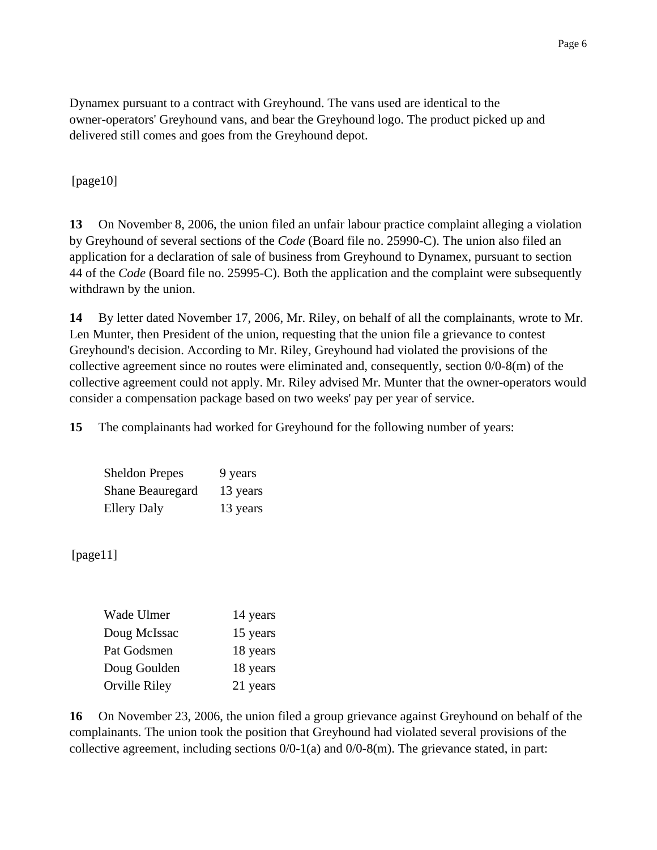Dynamex pursuant to a contract with Greyhound. The vans used are identical to the owner-operators' Greyhound vans, and bear the Greyhound logo. The product picked up and delivered still comes and goes from the Greyhound depot.

[page10]

**13** On November 8, 2006, the union filed an unfair labour practice complaint alleging a violation by Greyhound of several sections of the *Code* (Board file no. 25990-C). The union also filed an application for a declaration of sale of business from Greyhound to Dynamex, pursuant to section 44 of the *Code* (Board file no. 25995-C). Both the application and the complaint were subsequently withdrawn by the union.

**14** By letter dated November 17, 2006, Mr. Riley, on behalf of all the complainants, wrote to Mr. Len Munter, then President of the union, requesting that the union file a grievance to contest Greyhound's decision. According to Mr. Riley, Greyhound had violated the provisions of the collective agreement since no routes were eliminated and, consequently, section 0/0-8(m) of the collective agreement could not apply. Mr. Riley advised Mr. Munter that the owner-operators would consider a compensation package based on two weeks' pay per year of service.

**15** The complainants had worked for Greyhound for the following number of years:

| <b>Sheldon Prepes</b> | 9 years  |
|-----------------------|----------|
| Shane Beauregard      | 13 years |
| <b>Ellery Daly</b>    | 13 years |

[page11]

| Wade Ulmer    | 14 years |
|---------------|----------|
| Doug McIssac  | 15 years |
| Pat Godsmen   | 18 years |
| Doug Goulden  | 18 years |
| Orville Riley | 21 years |

**16** On November 23, 2006, the union filed a group grievance against Greyhound on behalf of the complainants. The union took the position that Greyhound had violated several provisions of the collective agreement, including sections  $0/0-1(a)$  and  $0/0-8(m)$ . The grievance stated, in part: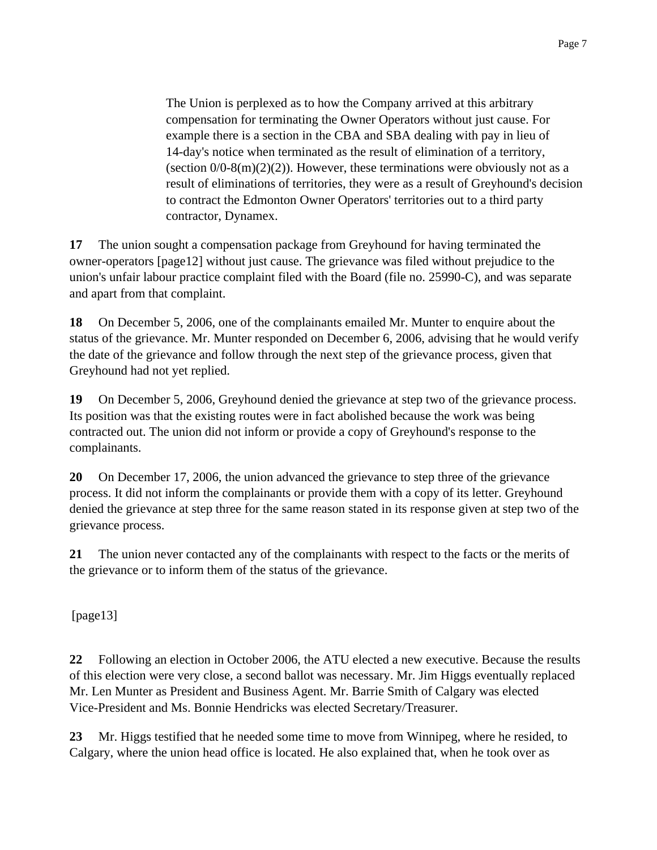The Union is perplexed as to how the Company arrived at this arbitrary compensation for terminating the Owner Operators without just cause. For example there is a section in the CBA and SBA dealing with pay in lieu of 14-day's notice when terminated as the result of elimination of a territory, (section  $0/0.8(m)(2)(2)$ ). However, these terminations were obviously not as a result of eliminations of territories, they were as a result of Greyhound's decision to contract the Edmonton Owner Operators' territories out to a third party contractor, Dynamex.

**17** The union sought a compensation package from Greyhound for having terminated the owner-operators [page12] without just cause. The grievance was filed without prejudice to the union's unfair labour practice complaint filed with the Board (file no. 25990-C), and was separate and apart from that complaint.

**18** On December 5, 2006, one of the complainants emailed Mr. Munter to enquire about the status of the grievance. Mr. Munter responded on December 6, 2006, advising that he would verify the date of the grievance and follow through the next step of the grievance process, given that Greyhound had not yet replied.

**19** On December 5, 2006, Greyhound denied the grievance at step two of the grievance process. Its position was that the existing routes were in fact abolished because the work was being contracted out. The union did not inform or provide a copy of Greyhound's response to the complainants.

**20** On December 17, 2006, the union advanced the grievance to step three of the grievance process. It did not inform the complainants or provide them with a copy of its letter. Greyhound denied the grievance at step three for the same reason stated in its response given at step two of the grievance process.

**21** The union never contacted any of the complainants with respect to the facts or the merits of the grievance or to inform them of the status of the grievance.

[page13]

**22** Following an election in October 2006, the ATU elected a new executive. Because the results of this election were very close, a second ballot was necessary. Mr. Jim Higgs eventually replaced Mr. Len Munter as President and Business Agent. Mr. Barrie Smith of Calgary was elected Vice-President and Ms. Bonnie Hendricks was elected Secretary/Treasurer.

**23** Mr. Higgs testified that he needed some time to move from Winnipeg, where he resided, to Calgary, where the union head office is located. He also explained that, when he took over as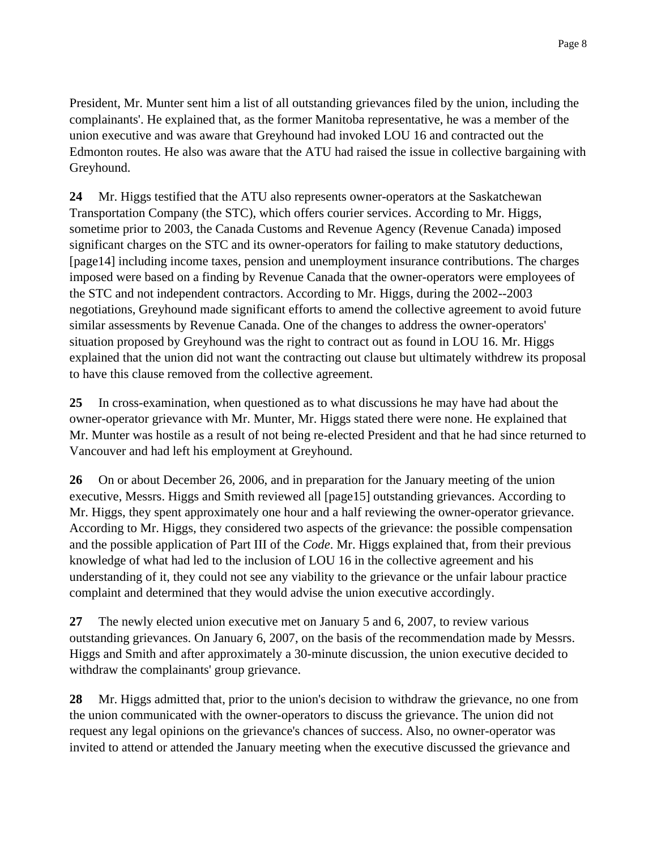President, Mr. Munter sent him a list of all outstanding grievances filed by the union, including the complainants'. He explained that, as the former Manitoba representative, he was a member of the union executive and was aware that Greyhound had invoked LOU 16 and contracted out the Edmonton routes. He also was aware that the ATU had raised the issue in collective bargaining with Greyhound.

**24** Mr. Higgs testified that the ATU also represents owner-operators at the Saskatchewan Transportation Company (the STC), which offers courier services. According to Mr. Higgs, sometime prior to 2003, the Canada Customs and Revenue Agency (Revenue Canada) imposed significant charges on the STC and its owner-operators for failing to make statutory deductions, [page14] including income taxes, pension and unemployment insurance contributions. The charges imposed were based on a finding by Revenue Canada that the owner-operators were employees of the STC and not independent contractors. According to Mr. Higgs, during the 2002--2003 negotiations, Greyhound made significant efforts to amend the collective agreement to avoid future similar assessments by Revenue Canada. One of the changes to address the owner-operators' situation proposed by Greyhound was the right to contract out as found in LOU 16. Mr. Higgs explained that the union did not want the contracting out clause but ultimately withdrew its proposal to have this clause removed from the collective agreement.

**25** In cross-examination, when questioned as to what discussions he may have had about the owner-operator grievance with Mr. Munter, Mr. Higgs stated there were none. He explained that Mr. Munter was hostile as a result of not being re-elected President and that he had since returned to Vancouver and had left his employment at Greyhound.

**26** On or about December 26, 2006, and in preparation for the January meeting of the union executive, Messrs. Higgs and Smith reviewed all [page15] outstanding grievances. According to Mr. Higgs, they spent approximately one hour and a half reviewing the owner-operator grievance. According to Mr. Higgs, they considered two aspects of the grievance: the possible compensation and the possible application of Part III of the *Code*. Mr. Higgs explained that, from their previous knowledge of what had led to the inclusion of LOU 16 in the collective agreement and his understanding of it, they could not see any viability to the grievance or the unfair labour practice complaint and determined that they would advise the union executive accordingly.

**27** The newly elected union executive met on January 5 and 6, 2007, to review various outstanding grievances. On January 6, 2007, on the basis of the recommendation made by Messrs. Higgs and Smith and after approximately a 30-minute discussion, the union executive decided to withdraw the complainants' group grievance.

**28** Mr. Higgs admitted that, prior to the union's decision to withdraw the grievance, no one from the union communicated with the owner-operators to discuss the grievance. The union did not request any legal opinions on the grievance's chances of success. Also, no owner-operator was invited to attend or attended the January meeting when the executive discussed the grievance and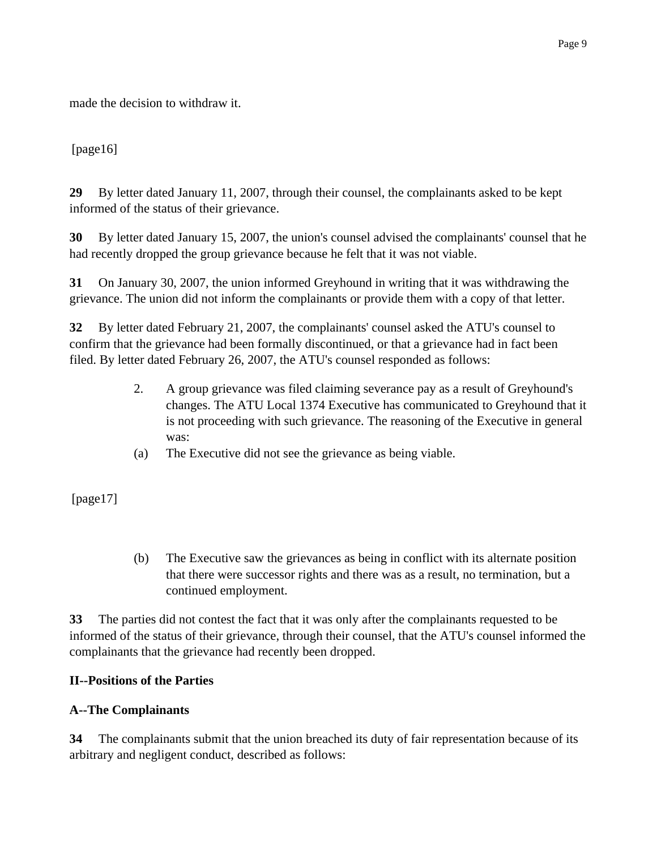made the decision to withdraw it.

## [page16]

**29** By letter dated January 11, 2007, through their counsel, the complainants asked to be kept informed of the status of their grievance.

**30** By letter dated January 15, 2007, the union's counsel advised the complainants' counsel that he had recently dropped the group grievance because he felt that it was not viable.

**31** On January 30, 2007, the union informed Greyhound in writing that it was withdrawing the grievance. The union did not inform the complainants or provide them with a copy of that letter.

**32** By letter dated February 21, 2007, the complainants' counsel asked the ATU's counsel to confirm that the grievance had been formally discontinued, or that a grievance had in fact been filed. By letter dated February 26, 2007, the ATU's counsel responded as follows:

- 2. A group grievance was filed claiming severance pay as a result of Greyhound's changes. The ATU Local 1374 Executive has communicated to Greyhound that it is not proceeding with such grievance. The reasoning of the Executive in general was:
- (a) The Executive did not see the grievance as being viable.

[page17]

(b) The Executive saw the grievances as being in conflict with its alternate position that there were successor rights and there was as a result, no termination, but a continued employment.

**33** The parties did not contest the fact that it was only after the complainants requested to be informed of the status of their grievance, through their counsel, that the ATU's counsel informed the complainants that the grievance had recently been dropped.

#### **II--Positions of the Parties**

# **A--The Complainants**

**34** The complainants submit that the union breached its duty of fair representation because of its arbitrary and negligent conduct, described as follows: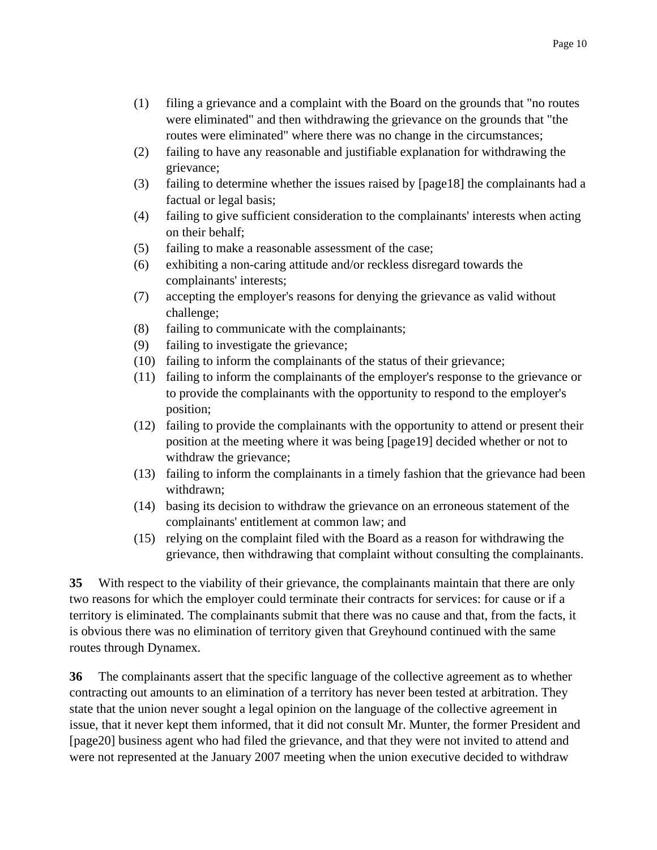- (1) filing a grievance and a complaint with the Board on the grounds that "no routes were eliminated" and then withdrawing the grievance on the grounds that "the routes were eliminated" where there was no change in the circumstances;
- (2) failing to have any reasonable and justifiable explanation for withdrawing the grievance;
- (3) failing to determine whether the issues raised by [page18] the complainants had a factual or legal basis;
- (4) failing to give sufficient consideration to the complainants' interests when acting on their behalf;
- (5) failing to make a reasonable assessment of the case;
- (6) exhibiting a non-caring attitude and/or reckless disregard towards the complainants' interests;
- (7) accepting the employer's reasons for denying the grievance as valid without challenge;
- (8) failing to communicate with the complainants;
- (9) failing to investigate the grievance;
- (10) failing to inform the complainants of the status of their grievance;
- (11) failing to inform the complainants of the employer's response to the grievance or to provide the complainants with the opportunity to respond to the employer's position;
- (12) failing to provide the complainants with the opportunity to attend or present their position at the meeting where it was being [page19] decided whether or not to withdraw the grievance;
- (13) failing to inform the complainants in a timely fashion that the grievance had been withdrawn;
- (14) basing its decision to withdraw the grievance on an erroneous statement of the complainants' entitlement at common law; and
- (15) relying on the complaint filed with the Board as a reason for withdrawing the grievance, then withdrawing that complaint without consulting the complainants.

**35** With respect to the viability of their grievance, the complainants maintain that there are only two reasons for which the employer could terminate their contracts for services: for cause or if a territory is eliminated. The complainants submit that there was no cause and that, from the facts, it is obvious there was no elimination of territory given that Greyhound continued with the same routes through Dynamex.

**36** The complainants assert that the specific language of the collective agreement as to whether contracting out amounts to an elimination of a territory has never been tested at arbitration. They state that the union never sought a legal opinion on the language of the collective agreement in issue, that it never kept them informed, that it did not consult Mr. Munter, the former President and [page20] business agent who had filed the grievance, and that they were not invited to attend and were not represented at the January 2007 meeting when the union executive decided to withdraw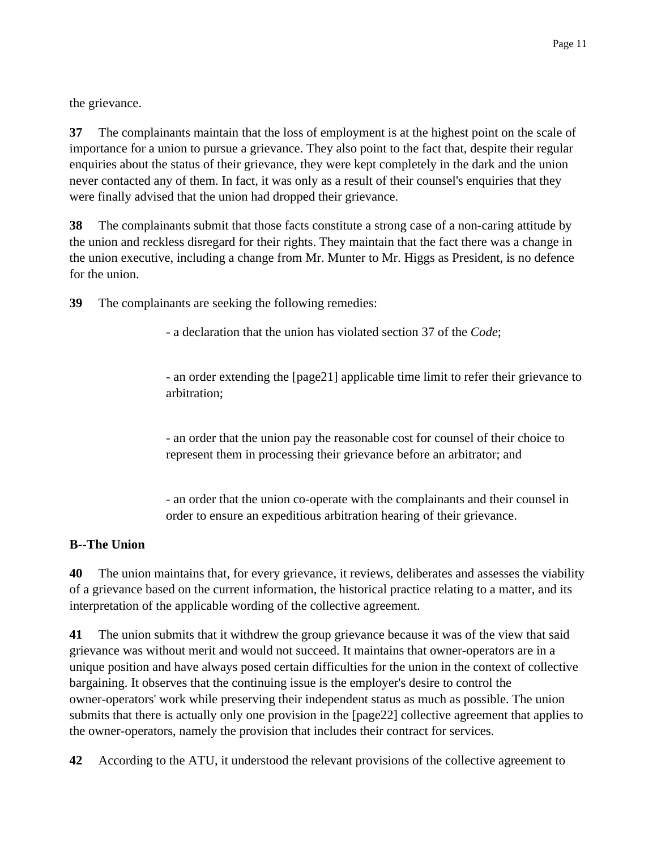the grievance.

**37** The complainants maintain that the loss of employment is at the highest point on the scale of importance for a union to pursue a grievance. They also point to the fact that, despite their regular enquiries about the status of their grievance, they were kept completely in the dark and the union never contacted any of them. In fact, it was only as a result of their counsel's enquiries that they were finally advised that the union had dropped their grievance.

**38** The complainants submit that those facts constitute a strong case of a non-caring attitude by the union and reckless disregard for their rights. They maintain that the fact there was a change in the union executive, including a change from Mr. Munter to Mr. Higgs as President, is no defence for the union.

**39** The complainants are seeking the following remedies:

- a declaration that the union has violated section 37 of the *Code*;

- an order extending the [page21] applicable time limit to refer their grievance to arbitration;

- an order that the union pay the reasonable cost for counsel of their choice to represent them in processing their grievance before an arbitrator; and

- an order that the union co-operate with the complainants and their counsel in order to ensure an expeditious arbitration hearing of their grievance.

#### **B--The Union**

**40** The union maintains that, for every grievance, it reviews, deliberates and assesses the viability of a grievance based on the current information, the historical practice relating to a matter, and its interpretation of the applicable wording of the collective agreement.

**41** The union submits that it withdrew the group grievance because it was of the view that said grievance was without merit and would not succeed. It maintains that owner-operators are in a unique position and have always posed certain difficulties for the union in the context of collective bargaining. It observes that the continuing issue is the employer's desire to control the owner-operators' work while preserving their independent status as much as possible. The union submits that there is actually only one provision in the [page22] collective agreement that applies to the owner-operators, namely the provision that includes their contract for services.

**42** According to the ATU, it understood the relevant provisions of the collective agreement to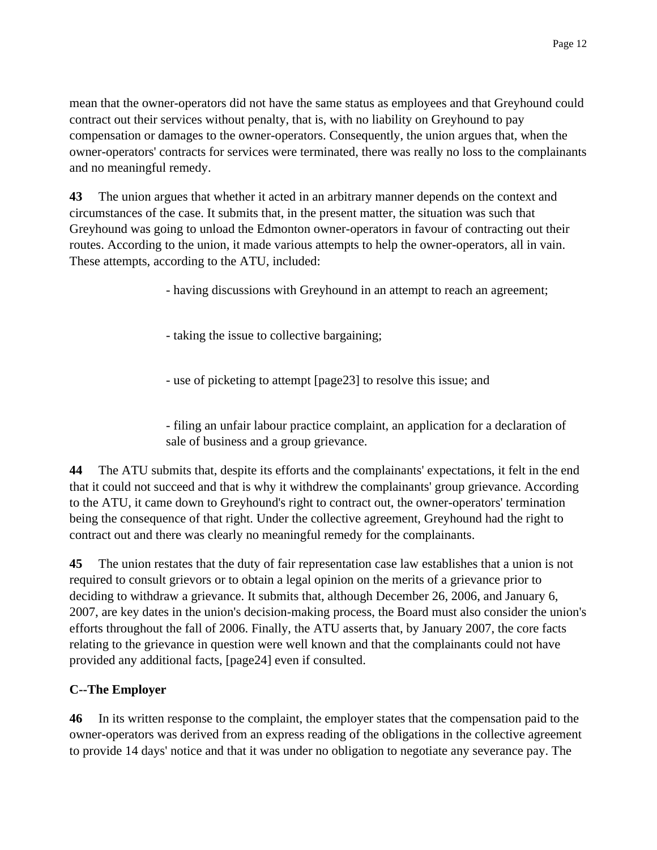mean that the owner-operators did not have the same status as employees and that Greyhound could contract out their services without penalty, that is, with no liability on Greyhound to pay compensation or damages to the owner-operators. Consequently, the union argues that, when the owner-operators' contracts for services were terminated, there was really no loss to the complainants and no meaningful remedy.

**43** The union argues that whether it acted in an arbitrary manner depends on the context and circumstances of the case. It submits that, in the present matter, the situation was such that Greyhound was going to unload the Edmonton owner-operators in favour of contracting out their routes. According to the union, it made various attempts to help the owner-operators, all in vain. These attempts, according to the ATU, included:

- having discussions with Greyhound in an attempt to reach an agreement;

- taking the issue to collective bargaining;

- use of picketing to attempt [page23] to resolve this issue; and

- filing an unfair labour practice complaint, an application for a declaration of sale of business and a group grievance.

**44** The ATU submits that, despite its efforts and the complainants' expectations, it felt in the end that it could not succeed and that is why it withdrew the complainants' group grievance. According to the ATU, it came down to Greyhound's right to contract out, the owner-operators' termination being the consequence of that right. Under the collective agreement, Greyhound had the right to contract out and there was clearly no meaningful remedy for the complainants.

**45** The union restates that the duty of fair representation case law establishes that a union is not required to consult grievors or to obtain a legal opinion on the merits of a grievance prior to deciding to withdraw a grievance. It submits that, although December 26, 2006, and January 6, 2007, are key dates in the union's decision-making process, the Board must also consider the union's efforts throughout the fall of 2006. Finally, the ATU asserts that, by January 2007, the core facts relating to the grievance in question were well known and that the complainants could not have provided any additional facts, [page24] even if consulted.

# **C--The Employer**

**46** In its written response to the complaint, the employer states that the compensation paid to the owner-operators was derived from an express reading of the obligations in the collective agreement to provide 14 days' notice and that it was under no obligation to negotiate any severance pay. The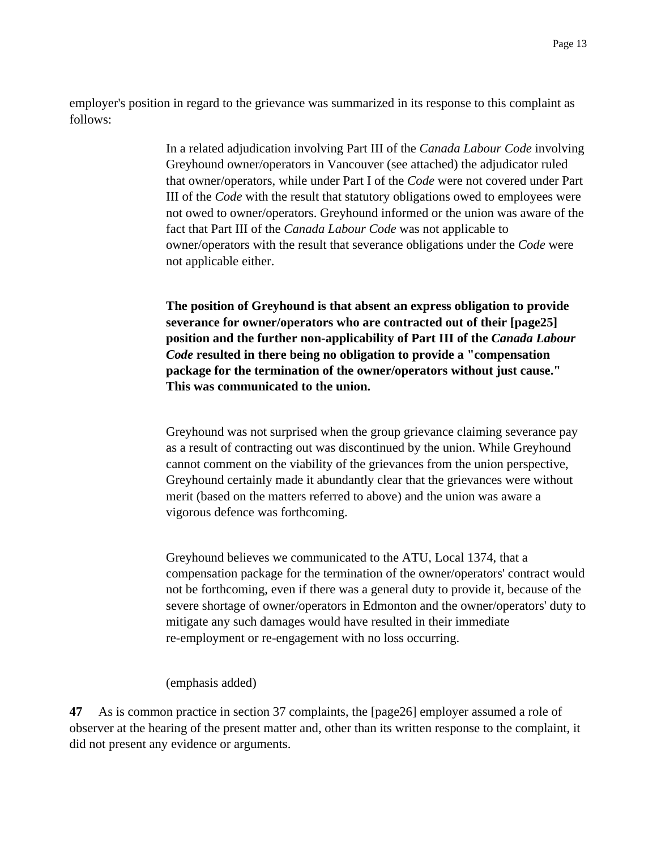employer's position in regard to the grievance was summarized in its response to this complaint as follows:

> In a related adjudication involving Part III of the *Canada Labour Code* involving Greyhound owner/operators in Vancouver (see attached) the adjudicator ruled that owner/operators, while under Part I of the *Code* were not covered under Part III of the *Code* with the result that statutory obligations owed to employees were not owed to owner/operators. Greyhound informed or the union was aware of the fact that Part III of the *Canada Labour Code* was not applicable to owner/operators with the result that severance obligations under the *Code* were not applicable either.

**The position of Greyhound is that absent an express obligation to provide severance for owner/operators who are contracted out of their [page25] position and the further non-applicability of Part III of the** *Canada Labour Code* **resulted in there being no obligation to provide a "compensation package for the termination of the owner/operators without just cause." This was communicated to the union.**

Greyhound was not surprised when the group grievance claiming severance pay as a result of contracting out was discontinued by the union. While Greyhound cannot comment on the viability of the grievances from the union perspective, Greyhound certainly made it abundantly clear that the grievances were without merit (based on the matters referred to above) and the union was aware a vigorous defence was forthcoming.

Greyhound believes we communicated to the ATU, Local 1374, that a compensation package for the termination of the owner/operators' contract would not be forthcoming, even if there was a general duty to provide it, because of the severe shortage of owner/operators in Edmonton and the owner/operators' duty to mitigate any such damages would have resulted in their immediate re-employment or re-engagement with no loss occurring.

(emphasis added)

**47** As is common practice in section 37 complaints, the [page26] employer assumed a role of observer at the hearing of the present matter and, other than its written response to the complaint, it did not present any evidence or arguments.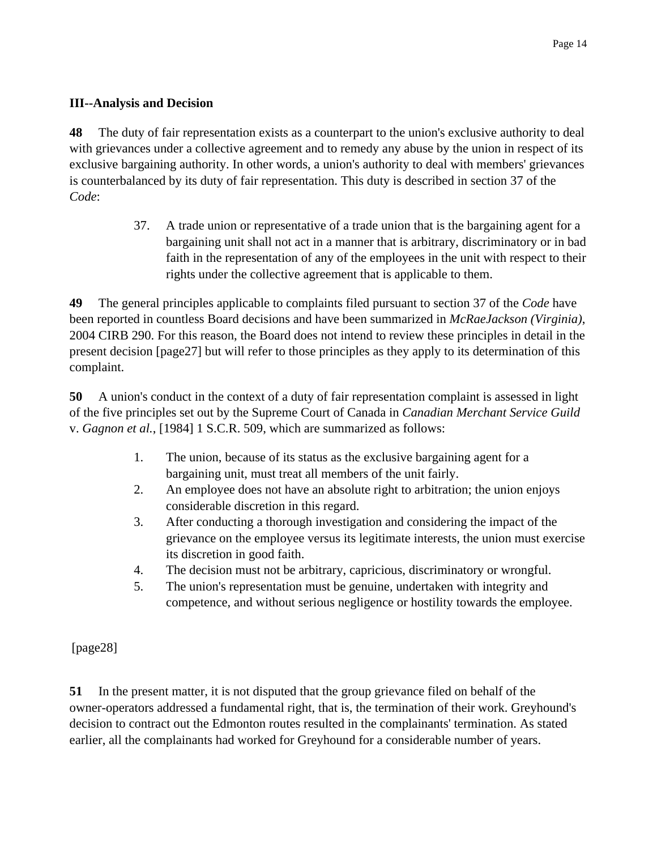## **III--Analysis and Decision**

**48** The duty of fair representation exists as a counterpart to the union's exclusive authority to deal with grievances under a collective agreement and to remedy any abuse by the union in respect of its exclusive bargaining authority. In other words, a union's authority to deal with members' grievances is counterbalanced by its duty of fair representation. This duty is described in section 37 of the *Code*:

> 37. A trade union or representative of a trade union that is the bargaining agent for a bargaining unit shall not act in a manner that is arbitrary, discriminatory or in bad faith in the representation of any of the employees in the unit with respect to their rights under the collective agreement that is applicable to them.

**49** The general principles applicable to complaints filed pursuant to section 37 of the *Code* have been reported in countless Board decisions and have been summarized in *McRaeJackson (Virginia)*, 2004 CIRB 290. For this reason, the Board does not intend to review these principles in detail in the present decision [page27] but will refer to those principles as they apply to its determination of this complaint.

**50** A union's conduct in the context of a duty of fair representation complaint is assessed in light of the five principles set out by the Supreme Court of Canada in *Canadian Merchant Service Guild* v. *Gagnon et al.*, [1984] 1 S.C.R. 509, which are summarized as follows:

- 1. The union, because of its status as the exclusive bargaining agent for a bargaining unit, must treat all members of the unit fairly.
- 2. An employee does not have an absolute right to arbitration; the union enjoys considerable discretion in this regard.
- 3. After conducting a thorough investigation and considering the impact of the grievance on the employee versus its legitimate interests, the union must exercise its discretion in good faith.
- 4. The decision must not be arbitrary, capricious, discriminatory or wrongful.
- 5. The union's representation must be genuine, undertaken with integrity and competence, and without serious negligence or hostility towards the employee.

[page28]

**51** In the present matter, it is not disputed that the group grievance filed on behalf of the owner-operators addressed a fundamental right, that is, the termination of their work. Greyhound's decision to contract out the Edmonton routes resulted in the complainants' termination. As stated earlier, all the complainants had worked for Greyhound for a considerable number of years.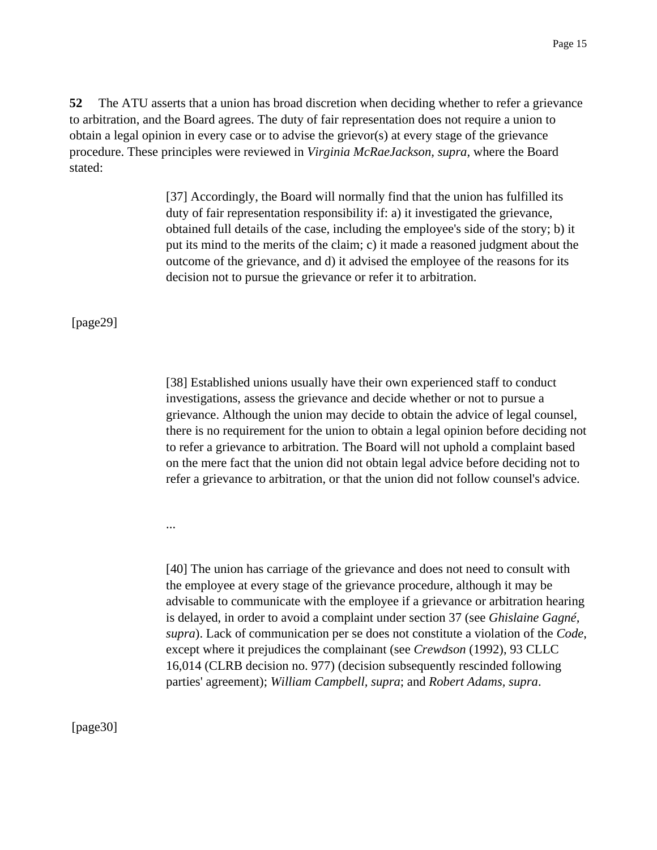**52** The ATU asserts that a union has broad discretion when deciding whether to refer a grievance to arbitration, and the Board agrees. The duty of fair representation does not require a union to obtain a legal opinion in every case or to advise the grievor(s) at every stage of the grievance procedure. These principles were reviewed in *Virginia McRaeJackson, supra*, where the Board stated:

> [37] Accordingly, the Board will normally find that the union has fulfilled its duty of fair representation responsibility if: a) it investigated the grievance, obtained full details of the case, including the employee's side of the story; b) it put its mind to the merits of the claim; c) it made a reasoned judgment about the outcome of the grievance, and d) it advised the employee of the reasons for its decision not to pursue the grievance or refer it to arbitration.

[page29]

[38] Established unions usually have their own experienced staff to conduct investigations, assess the grievance and decide whether or not to pursue a grievance. Although the union may decide to obtain the advice of legal counsel, there is no requirement for the union to obtain a legal opinion before deciding not to refer a grievance to arbitration. The Board will not uphold a complaint based on the mere fact that the union did not obtain legal advice before deciding not to refer a grievance to arbitration, or that the union did not follow counsel's advice.

...

[40] The union has carriage of the grievance and does not need to consult with the employee at every stage of the grievance procedure, although it may be advisable to communicate with the employee if a grievance or arbitration hearing is delayed, in order to avoid a complaint under section 37 (see *Ghislaine Gagné, supra*). Lack of communication per se does not constitute a violation of the *Code*, except where it prejudices the complainant (see *Crewdson* (1992), 93 CLLC 16,014 (CLRB decision no. 977) (decision subsequently rescinded following parties' agreement); *William Campbell, supra*; and *Robert Adams, supra*.

[page30]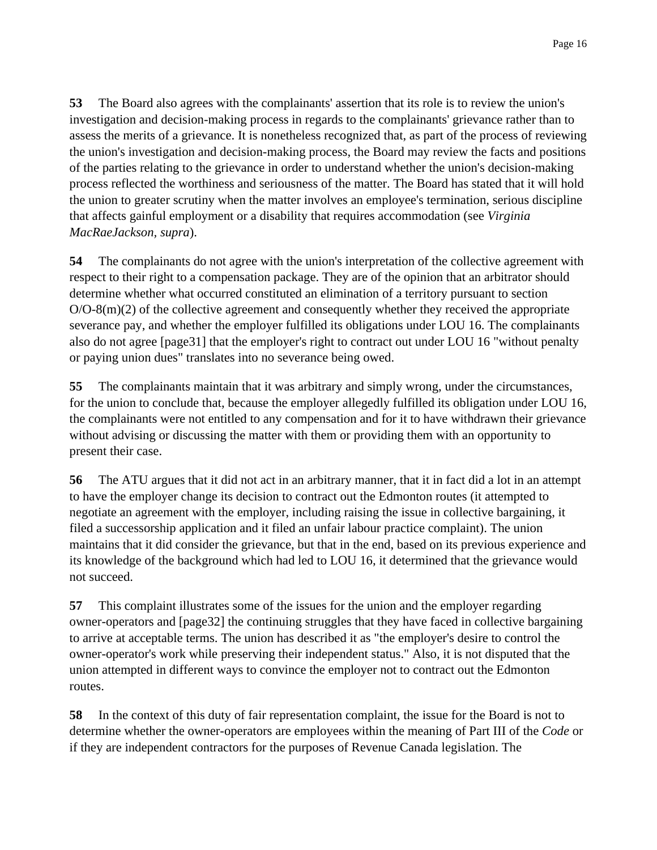**53** The Board also agrees with the complainants' assertion that its role is to review the union's investigation and decision-making process in regards to the complainants' grievance rather than to assess the merits of a grievance. It is nonetheless recognized that, as part of the process of reviewing the union's investigation and decision-making process, the Board may review the facts and positions of the parties relating to the grievance in order to understand whether the union's decision-making process reflected the worthiness and seriousness of the matter. The Board has stated that it will hold the union to greater scrutiny when the matter involves an employee's termination, serious discipline that affects gainful employment or a disability that requires accommodation (see *Virginia MacRaeJackson, supra*).

**54** The complainants do not agree with the union's interpretation of the collective agreement with respect to their right to a compensation package. They are of the opinion that an arbitrator should determine whether what occurred constituted an elimination of a territory pursuant to section  $O/O-8(m)(2)$  of the collective agreement and consequently whether they received the appropriate severance pay, and whether the employer fulfilled its obligations under LOU 16. The complainants also do not agree [page31] that the employer's right to contract out under LOU 16 "without penalty or paying union dues" translates into no severance being owed.

**55** The complainants maintain that it was arbitrary and simply wrong, under the circumstances, for the union to conclude that, because the employer allegedly fulfilled its obligation under LOU 16, the complainants were not entitled to any compensation and for it to have withdrawn their grievance without advising or discussing the matter with them or providing them with an opportunity to present their case.

**56** The ATU argues that it did not act in an arbitrary manner, that it in fact did a lot in an attempt to have the employer change its decision to contract out the Edmonton routes (it attempted to negotiate an agreement with the employer, including raising the issue in collective bargaining, it filed a successorship application and it filed an unfair labour practice complaint). The union maintains that it did consider the grievance, but that in the end, based on its previous experience and its knowledge of the background which had led to LOU 16, it determined that the grievance would not succeed.

**57** This complaint illustrates some of the issues for the union and the employer regarding owner-operators and [page32] the continuing struggles that they have faced in collective bargaining to arrive at acceptable terms. The union has described it as "the employer's desire to control the owner-operator's work while preserving their independent status." Also, it is not disputed that the union attempted in different ways to convince the employer not to contract out the Edmonton routes.

**58** In the context of this duty of fair representation complaint, the issue for the Board is not to determine whether the owner-operators are employees within the meaning of Part III of the *Code* or if they are independent contractors for the purposes of Revenue Canada legislation. The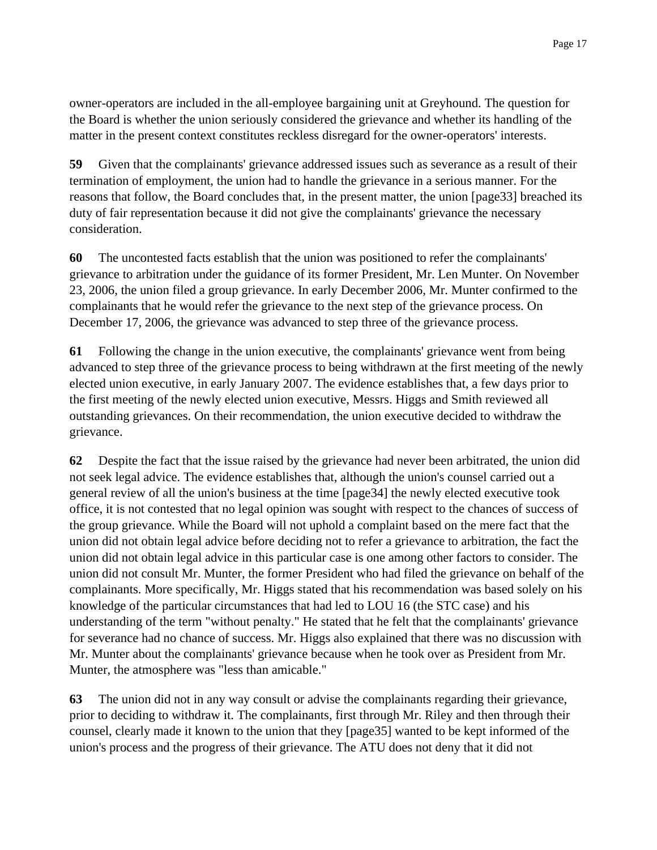owner-operators are included in the all-employee bargaining unit at Greyhound. The question for the Board is whether the union seriously considered the grievance and whether its handling of the matter in the present context constitutes reckless disregard for the owner-operators' interests.

**59** Given that the complainants' grievance addressed issues such as severance as a result of their termination of employment, the union had to handle the grievance in a serious manner. For the reasons that follow, the Board concludes that, in the present matter, the union [page33] breached its duty of fair representation because it did not give the complainants' grievance the necessary consideration.

**60** The uncontested facts establish that the union was positioned to refer the complainants' grievance to arbitration under the guidance of its former President, Mr. Len Munter. On November 23, 2006, the union filed a group grievance. In early December 2006, Mr. Munter confirmed to the complainants that he would refer the grievance to the next step of the grievance process. On December 17, 2006, the grievance was advanced to step three of the grievance process.

**61** Following the change in the union executive, the complainants' grievance went from being advanced to step three of the grievance process to being withdrawn at the first meeting of the newly elected union executive, in early January 2007. The evidence establishes that, a few days prior to the first meeting of the newly elected union executive, Messrs. Higgs and Smith reviewed all outstanding grievances. On their recommendation, the union executive decided to withdraw the grievance.

**62** Despite the fact that the issue raised by the grievance had never been arbitrated, the union did not seek legal advice. The evidence establishes that, although the union's counsel carried out a general review of all the union's business at the time [page34] the newly elected executive took office, it is not contested that no legal opinion was sought with respect to the chances of success of the group grievance. While the Board will not uphold a complaint based on the mere fact that the union did not obtain legal advice before deciding not to refer a grievance to arbitration, the fact the union did not obtain legal advice in this particular case is one among other factors to consider. The union did not consult Mr. Munter, the former President who had filed the grievance on behalf of the complainants. More specifically, Mr. Higgs stated that his recommendation was based solely on his knowledge of the particular circumstances that had led to LOU 16 (the STC case) and his understanding of the term "without penalty." He stated that he felt that the complainants' grievance for severance had no chance of success. Mr. Higgs also explained that there was no discussion with Mr. Munter about the complainants' grievance because when he took over as President from Mr. Munter, the atmosphere was "less than amicable."

**63** The union did not in any way consult or advise the complainants regarding their grievance, prior to deciding to withdraw it. The complainants, first through Mr. Riley and then through their counsel, clearly made it known to the union that they [page35] wanted to be kept informed of the union's process and the progress of their grievance. The ATU does not deny that it did not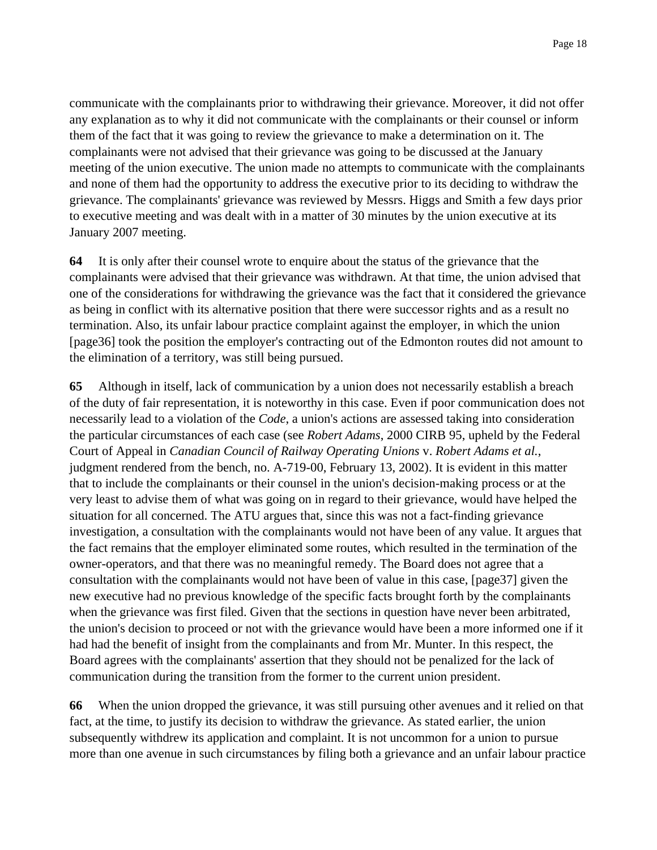communicate with the complainants prior to withdrawing their grievance. Moreover, it did not offer any explanation as to why it did not communicate with the complainants or their counsel or inform them of the fact that it was going to review the grievance to make a determination on it. The complainants were not advised that their grievance was going to be discussed at the January meeting of the union executive. The union made no attempts to communicate with the complainants and none of them had the opportunity to address the executive prior to its deciding to withdraw the grievance. The complainants' grievance was reviewed by Messrs. Higgs and Smith a few days prior to executive meeting and was dealt with in a matter of 30 minutes by the union executive at its January 2007 meeting.

**64** It is only after their counsel wrote to enquire about the status of the grievance that the complainants were advised that their grievance was withdrawn. At that time, the union advised that one of the considerations for withdrawing the grievance was the fact that it considered the grievance as being in conflict with its alternative position that there were successor rights and as a result no termination. Also, its unfair labour practice complaint against the employer, in which the union [page36] took the position the employer's contracting out of the Edmonton routes did not amount to the elimination of a territory, was still being pursued.

**65** Although in itself, lack of communication by a union does not necessarily establish a breach of the duty of fair representation, it is noteworthy in this case. Even if poor communication does not necessarily lead to a violation of the *Code*, a union's actions are assessed taking into consideration the particular circumstances of each case (see *Robert Adams*, 2000 CIRB 95, upheld by the Federal Court of Appeal in *Canadian Council of Railway Operating Unions* v. *Robert Adams et al.*, judgment rendered from the bench, no. A-719-00, February 13, 2002). It is evident in this matter that to include the complainants or their counsel in the union's decision-making process or at the very least to advise them of what was going on in regard to their grievance, would have helped the situation for all concerned. The ATU argues that, since this was not a fact-finding grievance investigation, a consultation with the complainants would not have been of any value. It argues that the fact remains that the employer eliminated some routes, which resulted in the termination of the owner-operators, and that there was no meaningful remedy. The Board does not agree that a consultation with the complainants would not have been of value in this case, [page37] given the new executive had no previous knowledge of the specific facts brought forth by the complainants when the grievance was first filed. Given that the sections in question have never been arbitrated, the union's decision to proceed or not with the grievance would have been a more informed one if it had had the benefit of insight from the complainants and from Mr. Munter. In this respect, the Board agrees with the complainants' assertion that they should not be penalized for the lack of communication during the transition from the former to the current union president.

**66** When the union dropped the grievance, it was still pursuing other avenues and it relied on that fact, at the time, to justify its decision to withdraw the grievance. As stated earlier, the union subsequently withdrew its application and complaint. It is not uncommon for a union to pursue more than one avenue in such circumstances by filing both a grievance and an unfair labour practice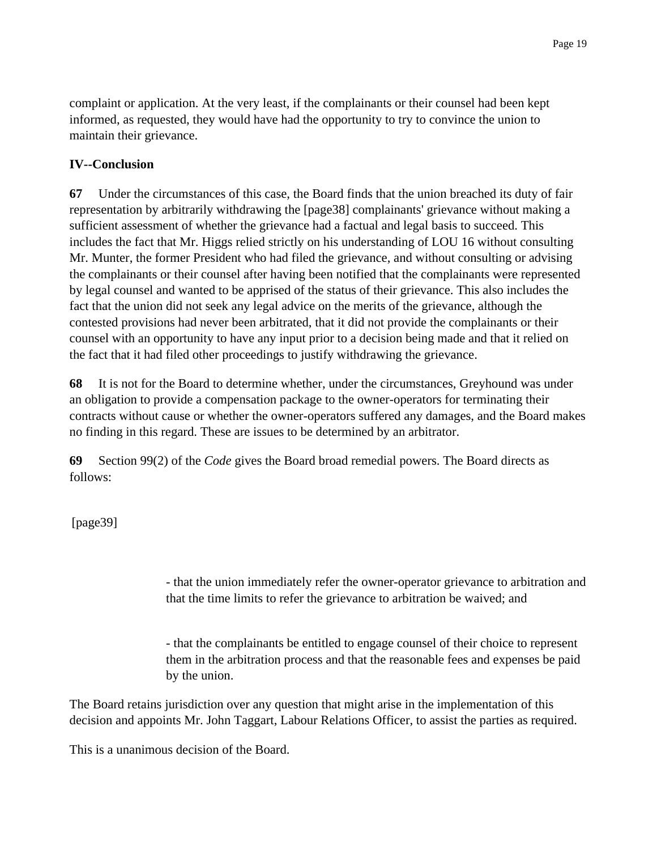complaint or application. At the very least, if the complainants or their counsel had been kept informed, as requested, they would have had the opportunity to try to convince the union to maintain their grievance.

## **IV--Conclusion**

**67** Under the circumstances of this case, the Board finds that the union breached its duty of fair representation by arbitrarily withdrawing the [page38] complainants' grievance without making a sufficient assessment of whether the grievance had a factual and legal basis to succeed. This includes the fact that Mr. Higgs relied strictly on his understanding of LOU 16 without consulting Mr. Munter, the former President who had filed the grievance, and without consulting or advising the complainants or their counsel after having been notified that the complainants were represented by legal counsel and wanted to be apprised of the status of their grievance. This also includes the fact that the union did not seek any legal advice on the merits of the grievance, although the contested provisions had never been arbitrated, that it did not provide the complainants or their counsel with an opportunity to have any input prior to a decision being made and that it relied on the fact that it had filed other proceedings to justify withdrawing the grievance.

**68** It is not for the Board to determine whether, under the circumstances, Greyhound was under an obligation to provide a compensation package to the owner-operators for terminating their contracts without cause or whether the owner-operators suffered any damages, and the Board makes no finding in this regard. These are issues to be determined by an arbitrator.

**69** Section 99(2) of the *Code* gives the Board broad remedial powers. The Board directs as follows:

[page39]

- that the union immediately refer the owner-operator grievance to arbitration and that the time limits to refer the grievance to arbitration be waived; and

- that the complainants be entitled to engage counsel of their choice to represent them in the arbitration process and that the reasonable fees and expenses be paid by the union.

The Board retains jurisdiction over any question that might arise in the implementation of this decision and appoints Mr. John Taggart, Labour Relations Officer, to assist the parties as required.

This is a unanimous decision of the Board.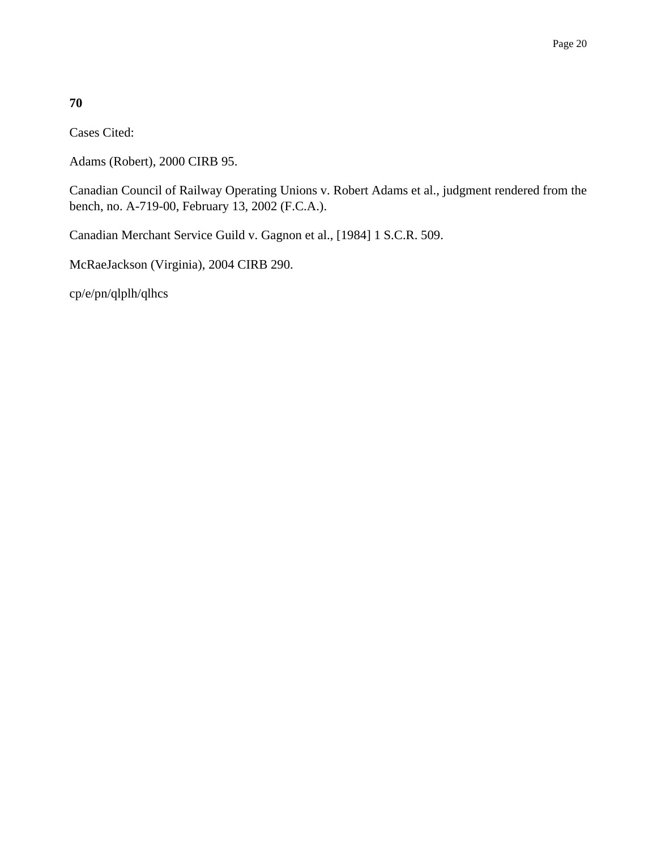## **70**

Cases Cited:

Adams (Robert), 2000 CIRB 95.

Canadian Council of Railway Operating Unions v. Robert Adams et al., judgment rendered from the bench, no. A-719-00, February 13, 2002 (F.C.A.).

Canadian Merchant Service Guild v. Gagnon et al., [1984] 1 S.C.R. 509.

McRaeJackson (Virginia), 2004 CIRB 290.

cp/e/pn/qlplh/qlhcs